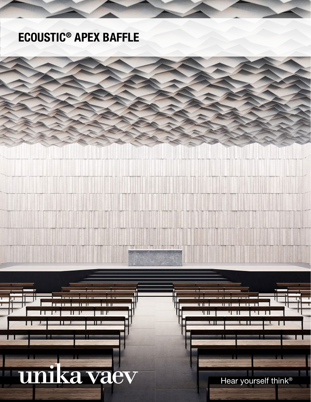## ECOUSTIC® APEX BAFFLE

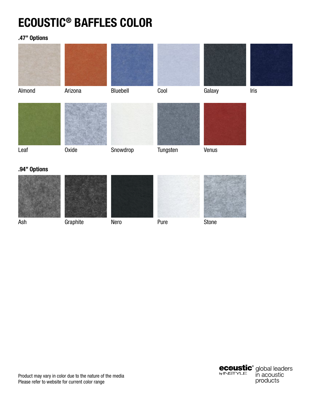# ECOUSTIC® BAFFLES COLOR

### .47" Options



### .94" Options



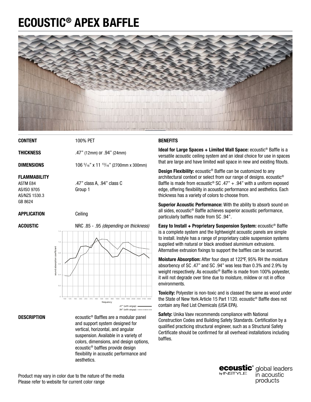# ECOUSTIC® APEX BAFFLE



CONTENT

100% PET

**THICKNESS** 

DIMENSIONS

.47" (12mm) or .94" (24mm)

106 5 /16" x 11 13/16" (2700mm x 300mm)

#### FLAMMABILITY

ASTM E84 AS/ISO 9705 AS/NZS 1530.3 GB 8624

.47" class A, .94" class C Group 1

#### APPLICATION

#### ACOUSTIC

Ceiling



**DESCRIPTION** 

ecoustic® Baffles are a modular panel and support system designed for vertical, horizontal, and angular suspension. Available in a variety of colors, dimensions, and design options, ecoustic® baffles provide design flexibility in acoustic performance and aesthetics.

#### **BENEFITS**

**Ideal for Large Spaces + Limited Wall Space:** ecoustic<sup>®</sup> Baffle is a versatile acoustic ceiling system and an ideal choice for use in spaces that are large and have limited wall space in new and existing fitouts.

**Design Flexibility:** ecoustic<sup>®</sup> Baffle can be customized to any architectural context or select from our range of designs. ecoustic® Baffle is made from ecoustic<sup>®</sup> SC .47" + .94" with a uniform exposed edge, offering flexibility in acoustic performance and aesthetics. Each thickness has a variety of colors to choose from.

Superior Acoustic Performance: With the ability to absorb sound on all sides, ecoustic® Baffle achieves superior acoustic performance, particularly baffles made from SC .94".

Easy to Install + Proprietary Suspension System: ecoustic® Baffle is a complete system and the lightweight acoustic panels are simple to install. Instyle has a range of proprietary cable suspension systems supplied with natural or black anodised aluminium extrusions. Alternative extrusion fixings to support the baffles can be sourced.

Moisture Absorption: After four days at 122ºF, 95% RH the moisture absorbency of SC .47" and SC .94" was less than 0.3% and 2.9% by weight respectively. As ecoustic® Baffle is made from 100% polyester, it will not degrade over time due to moisture, mildew or rot in office environments.

Toxicity: Polyester is non-toxic and is classed the same as wood under the State of New York Article 15 Part 1120. ecoustic® Baffle does not contain any Red List Chemicals (USA EPA).

Safety: Unika Vaev recommends compliance with National Construction Codes and Building Safety Standards. Certification by a qualified practicing structural engineer, such as a Structural Safety Certificate should be confirmed for all overhead installations including baffles.

**ecoustic**<sup>®</sup> global leaders by **INSTYLE** in acoustic products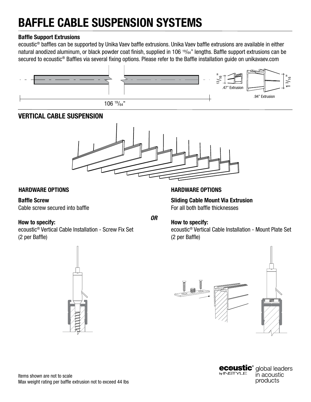#### Baffle Support Extrusions

ecoustic® baffles can be supported by Unika Vaev baffle extrusions. Unika Vaev baffle extrusions are available in either natural anodized aluminum, or black powder coat finish, supplied in 106 19/64" lengths. Baffle support extrusions can be secured to ecoustic<sup>®</sup> Baffles via several fixing options. Please refer to the Baffle installation guide on unikavaev.com



### VERTICAL CABLE SUSPENSION



#### HARDWARE OPTIONS HARDWARE OPTIONS

#### Baffle Screw

Cable screw secured into baffle

#### How to specify:

ecoustic® Vertical Cable Installation - Screw Fix Set (2 per Baffle)

Sliding Cable Mount Via Extrusion For all both baffle thicknesses

*OR*

#### How to specify:

ecoustic® Vertical Cable Installation - Mount Plate Set (2 per Baffle)





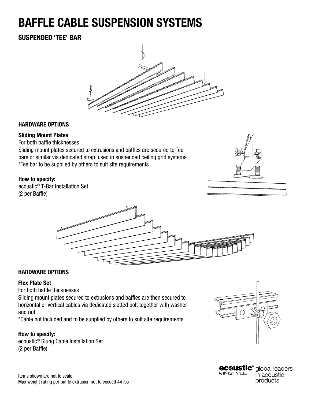### SUSPENDED 'TEE' BAR



#### HARDWARE OPTIONS

#### Sliding Mount Plates

For both baffle thicknesses

Sliding mount plates secured to extrusions and baffles are secured to Tee bars or similar via dedicated strap, used in suspended ceiling grid systems. \*Tee bar to be supplied by others to suit site requirements

#### How to specify:

ecoustic® T-Bar Installation Set (2 per Baffle)





#### HARDWARE OPTIONS

#### Flex Plate Set

For both baffle thicknesses

Sliding mount plates secured to extrusions and baffles are then secured to horizontal or vertical cables via dedicated slotted bolt together with washer and nut.

\*Cable not included and to be supplied by others to suit site requirements

#### How to specify:

ecoustic® Slung Cable Installation Set (2 per Baffle)



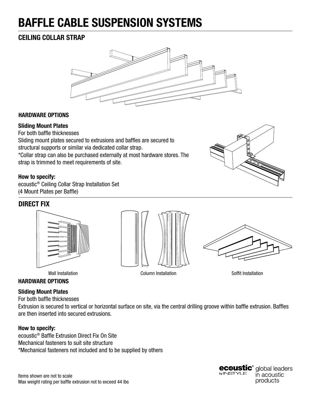### CEILING COLLAR STRAP



#### HARDWARE OPTIONS

#### Sliding Mount Plates

For both baffle thicknesses Sliding mount plates secured to extrusions and baffles are secured to structural supports or similar via dedicated collar strap. \*Collar strap can also be purchased externally at most hardware stores. The strap is trimmed to meet requirements of site.

#### How to specify:

ecoustic® Ceiling Collar Strap Installation Set (4 Mount Plates per Baffle)

### DIRECT FIX









#### HARDWARE OPTIONS

#### Sliding Mount Plates

For both baffle thicknesses

Extrusion is secured to vertical or horizontal surface on site, via the central drilling groove within baffle extrusion. Baffles are then inserted into secured extrusions.

#### How to specify:

ecoustic® Baffle Extrusion Direct Fix On Site Mechanical fasteners to suit site structure \*Mechanical fasteners not included and to be supplied by others



**ecøustic®** global leaders by **INSTYLE** in acoustic products